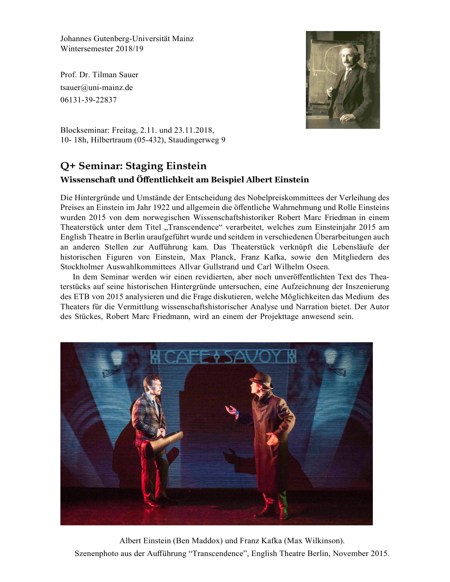Johannes Gutenberg-Universität Mainz Wintersemester 2018/19

Prof. Dr. Tilman Sauer tsauer@uni-mainz.de 06131-39-22837



Blockseminar: Freitag, 2.11. und 23.11.2018, 10- 18h, Hilbertraum (05-432), Staudingerweg 9

### **Q+ Seminar: Staging Einstein Wissenschaft und Öffentlichkeit am Beispiel Albert Einstein**

Die Hintergründe und Umstände der Entscheidung des Nobelpreiskommittees der Verleihung des Preises an Einstein im Jahr 1922 und allgemein die öffentliche Wahrnehmung und Rolle Einsteins wurden 2015 von dem norwegischen Wissenschaftshistoriker Robert Marc Friedman in einem Theaterstück unter dem Titel "Transcendence" verarbeitet, welches zum Einsteinjahr 2015 am English Theatre in Berlin uraufgeführt wurde und seitdem in verschiedenen Überarbeitungen auch an anderen Stellen zur Aufführung kam. Das Theaterstück verknüpft die Lebensläufe der historischen Figuren von Einstein, Max Planck, Franz Kafka, sowie den Mitgliedern des Stockholmer Auswahlkommittees Allvar Gullstrand und Carl Wilhelm Oseen.

In dem Seminar werden wir einen revidierten, aber noch unveröffentlichten Text des Theaterstücks auf seine historischen Hintergründe untersuchen, eine Aufzeichnung der Inszenierung des ETB von 2015 analysieren und die Frage diskutieren, welche Möglichkeiten das Medium des Theaters für die Vermittlung wissenschaftshistorischer Analyse und Narration bietet. Der Autor des Stückes, Robert Marc Friedmann, wird an einem der Projekttage anwesend sein.



Albert Einstein (Ben Maddox) und Franz Kafka (Max Wilkinson). Szenenphoto aus der Aufführung "Transcendence", English Theatre Berlin, November 2015.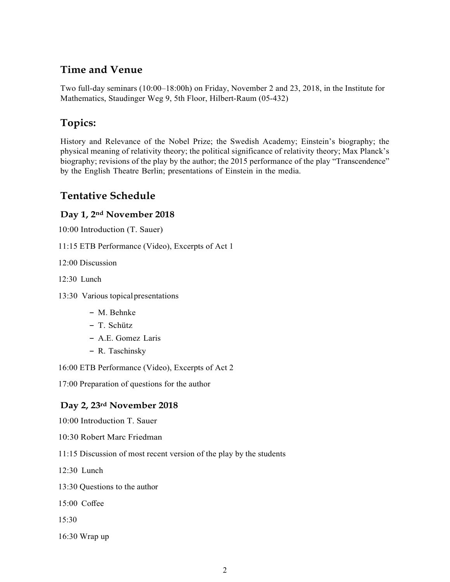# **Time and Venue**

Two full-day seminars (10:00–18:00h) on Friday, November 2 and 23, 2018, in the Institute for Mathematics, Staudinger Weg 9, 5th Floor, Hilbert-Raum (05-432)

### **Topics:**

History and Relevance of the Nobel Prize; the Swedish Academy; Einstein's biography; the physical meaning of relativity theory; the political significance of relativity theory; Max Planck's biography; revisions of the play by the author; the 2015 performance of the play "Transcendence" by the English Theatre Berlin; presentations of Einstein in the media.

### **Tentative Schedule**

#### **Day 1, 2nd November 2018**

10:00 Introduction (T. Sauer)

11:15 ETB Performance (Video), Excerpts of Act 1

12:00 Discussion

12:30 Lunch

13:30 Various topicalpresentations

- **–** M. Behnke
- **–** T. Schütz
- **–** A.E. Gomez Laris
- **–** R. Taschinsky

16:00 ETB Performance (Video), Excerpts of Act 2

17:00 Preparation of questions for the author

#### **Day 2, 23rd November 2018**

10:00 Introduction T. Sauer

- 10:30 Robert Marc Friedman
- 11:15 Discussion of most recent version of the play by the students
- 12:30 Lunch

13:30 Questions to the author

15:00 Coffee

15:30

16:30 Wrap up